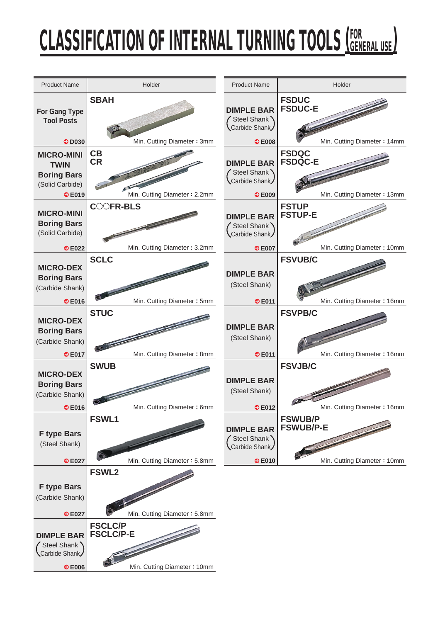## CLASSIFICATION OF INTERNAL TURNING TOOLS <u>(General Use)</u>

| <b>Product Name</b>                                                 | Holder                                                            | <b>Product Name</b>                                               | Holder                                                        |
|---------------------------------------------------------------------|-------------------------------------------------------------------|-------------------------------------------------------------------|---------------------------------------------------------------|
| <b>For Gang Type</b><br><b>Tool Posts</b><br>$\bullet$ D030         | <b>SBAH</b><br>Min. Cutting Diameter: 3mm                         | <b>DIMPLE BAR</b><br>Steel Shank<br>Carbide Shank<br>$\odot$ E008 | <b>FSDUC</b><br><b>FSDUC-E</b><br>Min. Cutting Diameter: 14mm |
| <b>MICRO-MINI</b>                                                   | CB                                                                |                                                                   | <b>FSDQC</b>                                                  |
| <b>TWIN</b><br><b>Boring Bars</b><br>(Solid Carbide)                | <b>CR</b>                                                         | <b>DIMPLE BAR</b><br>Steel Shank<br>Carbide Shank                 | <b>FSDQC-E</b>                                                |
| ©E019                                                               | Min. Cutting Diameter: 2.2mm                                      | © E009                                                            | Min. Cutting Diameter: 13mm                                   |
| <b>MICRO-MINI</b><br><b>Boring Bars</b><br>(Solid Carbide)          | <b>COOFR-BLS</b>                                                  | <b>DIMPLE BAR</b><br>Steel Shank<br>Carbide Shank                 | <b>FSTUP</b><br><b>FSTUP-E</b>                                |
| ©E022                                                               | Min. Cutting Diameter: 3.2mm                                      | © E007                                                            | Min. Cutting Diameter: 10mm                                   |
| <b>MICRO-DEX</b><br><b>Boring Bars</b><br>(Carbide Shank)           | <b>SCLC</b>                                                       | <b>DIMPLE BAR</b><br>(Steel Shank)                                | <b>FSVUB/C</b>                                                |
| ©E016                                                               | Min. Cutting Diameter: 5mm                                        | © E011                                                            | Min. Cutting Diameter: 16mm                                   |
| <b>MICRO-DEX</b><br><b>Boring Bars</b><br>(Carbide Shank)           | <b>STUC</b>                                                       | <b>DIMPLE BAR</b><br>(Steel Shank)                                | <b>FSVPB/C</b>                                                |
| ©E017                                                               | Min. Cutting Diameter: 8mm                                        | © E011                                                            | Min. Cutting Diameter: 16mm                                   |
| <b>MICRO-DEX</b><br><b>Boring Bars</b><br>(Carbide Shank)           | <b>SWUB</b>                                                       | <b>DIMPLE BAR</b><br>(Steel Shank)                                | <b>FSVJB/C</b>                                                |
| V E016                                                              | Min. Cutting Diameter: 6mm                                        | $\bullet$ E012                                                    | Min. Cutting Diameter: 16mm                                   |
| <b>F type Bars</b><br>(Steel Shank)                                 | <b>FSWL1</b>                                                      | <b>DIMPLE BAR</b><br>Steel Shank<br>Carbide Shank                 | <b>FSWUB/P</b><br><b>FSWUB/P-E</b>                            |
| ©E027                                                               | Min. Cutting Diameter: 5.8mm                                      | © E010                                                            | Min. Cutting Diameter: 10mm                                   |
| <b>F type Bars</b><br>(Carbide Shank)<br>©E027                      | <b>FSWL2</b><br>Min. Cutting Diameter: 5.8mm                      |                                                                   |                                                               |
| <b>DIMPLE BAR</b><br>Steel Shank<br>Carbide Shank<br>$\bullet$ E006 | <b>FSCLC/P</b><br><b>FSCLC/P-E</b><br>Min. Cutting Diameter: 10mm |                                                                   |                                                               |